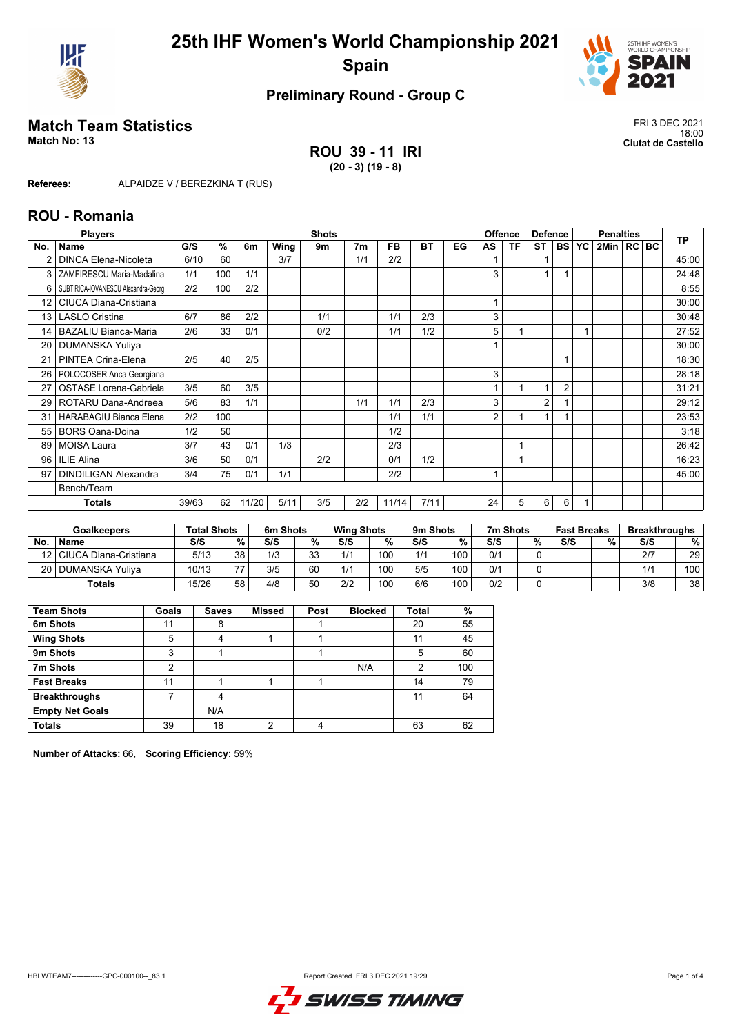



# **Match Team Statistics** FRI 3 DEC 2021<br>18:00

**ROU 39 - 11 IRI (20 - 3) (19 - 8)**

18:00 **Match No: 13 Ciutat de Castello**

**Referees:** ALPAIDZE V / BEREZKINA T (RUS)

### **ROU - Romania**

|                 | <b>Players</b>                      |       |     |       |      | <b>Shots</b> |                |       |      |    |                | <b>Offence</b> | <b>Defence</b> |                | <b>Penalties</b> |                | <b>TP</b> |       |
|-----------------|-------------------------------------|-------|-----|-------|------|--------------|----------------|-------|------|----|----------------|----------------|----------------|----------------|------------------|----------------|-----------|-------|
| No.             | Name                                | G/S   | %   | 6m    | Wing | 9m           | 7 <sub>m</sub> | FB    | ВT   | EG | AS             | ΤF             | <b>ST</b>      | <b>BS</b>      | YC               | 2Min   RC   BC |           |       |
|                 | <b>DINCA Elena-Nicoleta</b>         | 6/10  | 60  |       | 3/7  |              | 1/1            | 2/2   |      |    |                |                |                |                |                  |                |           | 45:00 |
| 3               | ZAMFIRESCU Maria-Madalina           | 1/1   | 100 | 1/1   |      |              |                |       |      |    | 3              |                | $\overline{1}$ |                |                  |                |           | 24:48 |
| 6               | SUBTIRICA-IOVANESCU Alexandra-Georg | 2/2   | 100 | 2/2   |      |              |                |       |      |    |                |                |                |                |                  |                |           | 8:55  |
| 12 <sup>2</sup> | CIUCA Diana-Cristiana               |       |     |       |      |              |                |       |      |    |                |                |                |                |                  |                |           | 30:00 |
| 13              | <b>LASLO Cristina</b>               | 6/7   | 86  | 2/2   |      | 1/1          |                | 1/1   | 2/3  |    | 3              |                |                |                |                  |                |           | 30:48 |
| 14              | <b>BAZALIU Bianca-Maria</b>         | 2/6   | 33  | 0/1   |      | 0/2          |                | 1/1   | 1/2  |    | 5              |                |                |                |                  |                |           | 27:52 |
| 20              | <b>DUMANSKA Yuliya</b>              |       |     |       |      |              |                |       |      |    |                |                |                |                |                  |                |           | 30:00 |
| 21              | PINTEA Crina-Elena                  | 2/5   | 40  | 2/5   |      |              |                |       |      |    |                |                |                |                |                  |                |           | 18:30 |
| 26              | POLOCOSER Anca Georgiana            |       |     |       |      |              |                |       |      |    | 3              |                |                |                |                  |                |           | 28:18 |
| 27              | <b>OSTASE Lorena-Gabriela</b>       | 3/5   | 60  | 3/5   |      |              |                |       |      |    |                |                | 1              | $\overline{2}$ |                  |                |           | 31:21 |
| 29              | ROTARU Dana-Andreea                 | 5/6   | 83  | 1/1   |      |              | 1/1            | 1/1   | 2/3  |    | 3              |                | $\overline{2}$ |                |                  |                |           | 29:12 |
| 31              | <b>HARABAGIU Bianca Elena</b>       | 2/2   | 100 |       |      |              |                | 1/1   | 1/1  |    | $\overline{2}$ |                | 1              |                |                  |                |           | 23:53 |
| 55              | <b>BORS Oana-Doina</b>              | 1/2   | 50  |       |      |              |                | 1/2   |      |    |                |                |                |                |                  |                |           | 3:18  |
| 89              | <b>MOISA Laura</b>                  | 3/7   | 43  | 0/1   | 1/3  |              |                | 2/3   |      |    |                |                |                |                |                  |                |           | 26:42 |
| 96              | ILIE Alina                          | 3/6   | 50  | 0/1   |      | 2/2          |                | 0/1   | 1/2  |    |                |                |                |                |                  |                |           | 16:23 |
| 97              | <b>DINDILIGAN Alexandra</b>         | 3/4   | 75  | 0/1   | 1/1  |              |                | 2/2   |      |    |                |                |                |                |                  |                |           | 45:00 |
|                 | Bench/Team                          |       |     |       |      |              |                |       |      |    |                |                |                |                |                  |                |           |       |
|                 | Totals                              | 39/63 | 62  | 11/20 | 5/11 | 3/5          | 2/2            | 11/14 | 7/11 |    | 24             | 5              | 6              | 6              |                  |                |           |       |

| <b>Goalkeepers</b> |                            | <b>Total Shots</b> |    | 6m Shots |           |     | <b>Wing Shots</b> |     | 9m Shots | 7m Shots |   | <b>Fast Breaks</b> |   | <b>Breakthroughs</b> |     |
|--------------------|----------------------------|--------------------|----|----------|-----------|-----|-------------------|-----|----------|----------|---|--------------------|---|----------------------|-----|
| <b>No</b>          | <b>Name</b>                | S/S                | %. | S/S      | %         | S/S | %                 | S/S | %        | S/S      | % | S/S                | % | S/S                  | %   |
|                    | 12   CIUCA Diana-Cristiana | 5/13               | 38 | 1/3      | っっ<br>ں ر | 1/1 | 100               | 1/1 | 100      | 0/1      |   |                    |   | 2/7                  | 29  |
|                    | 20   DUMANSKA Yuliya       | 10/13              | 77 | 3/5      | 60        | 1/1 | 100               | 5/5 | 100      | 0/1      |   |                    |   | 11 <sup>4</sup>      | 100 |
|                    | <b>Totals</b>              | 15/26              | 58 | 4/8      | 50        | 2/2 | 100               | 6/6 | 100      | 0/2      |   |                    |   | 3/8                  | 38  |

| <b>Team Shots</b>      | Goals | <b>Saves</b> | <b>Missed</b> | Post | <b>Blocked</b> | Total | %   |
|------------------------|-------|--------------|---------------|------|----------------|-------|-----|
| 6m Shots               | 11    | 8            |               |      |                | 20    | 55  |
| <b>Wing Shots</b>      | 5     | 4            |               |      |                | 11    | 45  |
| 9m Shots               | 3     |              |               |      |                | 5     | 60  |
| 7m Shots               | 2     |              |               |      | N/A            | 2     | 100 |
| <b>Fast Breaks</b>     | 11    |              |               |      |                | 14    | 79  |
| <b>Breakthroughs</b>   |       | 4            |               |      |                | 11    | 64  |
| <b>Empty Net Goals</b> |       | N/A          |               |      |                |       |     |
| <b>Totals</b>          | 39    | 18           | っ             | 4    |                | 63    | 62  |

**Number of Attacks:** 66, **Scoring Efficiency:** 59%

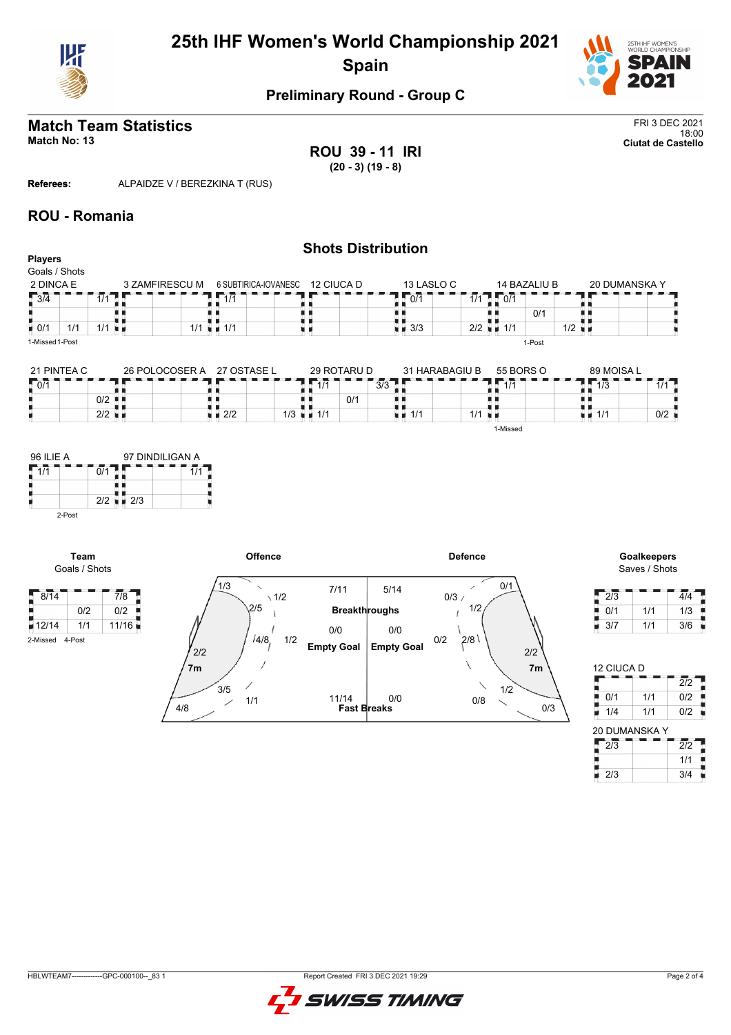



#### **Match Team Statistics** FRI 3 DEC 2021 18:00 **Match No: 13 Ciutat de Castello**

**ROU 39 - 11 IRI (20 - 3) (19 - 8)**

**Referees:** ALPAIDZE V / BEREZKINA T (RUS)

### **ROU - Romania**

| <b>Players</b>            | <b>Shots Distribution</b> |                |             |                                    |                    |            |                                                  |              |                      |  |               |  |  |  |
|---------------------------|---------------------------|----------------|-------------|------------------------------------|--------------------|------------|--------------------------------------------------|--------------|----------------------|--|---------------|--|--|--|
| Goals / Shots             |                           |                |             |                                    |                    |            |                                                  |              |                      |  |               |  |  |  |
| 2 DINCA E                 |                           | 3 ZAMFIRESCU M |             | 6 SUBTIRICA-IOVANESC<br>12 CIUCA D |                    | 13 LASLO C |                                                  | 14 BAZALIU B |                      |  | 20 DUMANSKA Y |  |  |  |
| $\sqrt{3/4}$              | $\overline{1}/1$          |                | 1/1         |                                    | $\sqrt{0/1}$       |            | $\overline{1/1}$ $\overline{1}$ $\overline{0/1}$ |              |                      |  |               |  |  |  |
|                           |                           |                |             |                                    |                    |            |                                                  | 0/1          |                      |  |               |  |  |  |
| $\blacksquare$ 0/1<br>1/1 | $1/1$ $\blacksquare$      |                | $1/1 = 1/1$ |                                    | $\blacksquare$ 3/3 |            | $2/2$ $\blacksquare$ 1/1                         |              | $1/2$ $\blacksquare$ |  |               |  |  |  |
| 1-Missed 1-Post           |                           |                |             |                                    |                    |            |                                                  | 1-Post       |                      |  |               |  |  |  |

| 21 PINTEA C |                      | 26 POLOCOSER A | 27 OSTASE L    |             | 29 ROTARU D |     | 31 HARABAGIU B | 55 BORS O                     | 89 MOISA L       |     |
|-------------|----------------------|----------------|----------------|-------------|-------------|-----|----------------|-------------------------------|------------------|-----|
| 10/1        |                      |                |                | 1/1         |             | 3/3 |                | $\overline{A}$ $\overline{A}$ | $\overline{1/3}$ | 414 |
|             | $0/2$ $\blacksquare$ |                |                |             | 0/1         |     |                |                               |                  |     |
| 2/2         |                      |                | $1 \times 2/2$ | 1/3<br>.1/1 |             | 1/1 | 1/1            | - 11                          | ∣∎ 1/1           | 0/2 |
|             |                      |                |                |             |             |     |                | 1-Missed                      |                  |     |





Saves / Shots

| 2/3 |     | 4/4 |
|-----|-----|-----|
| 0/1 | 1/1 | 1/3 |
| 3/7 | 1/1 | 3/6 |

| 12 CIUCA D       |     |                  |
|------------------|-----|------------------|
|                  |     | $\overline{212}$ |
| 0/1              | 1/1 | 0/2              |
| 1/4              | 1/1 | 0/2              |
| 20 DUMANSKA Y    |     |                  |
|                  |     |                  |
| $\overline{2/3}$ |     | $\overline{2/2}$ |
|                  |     | 1/1              |

2-Missed 4-Post

E Р **Team**

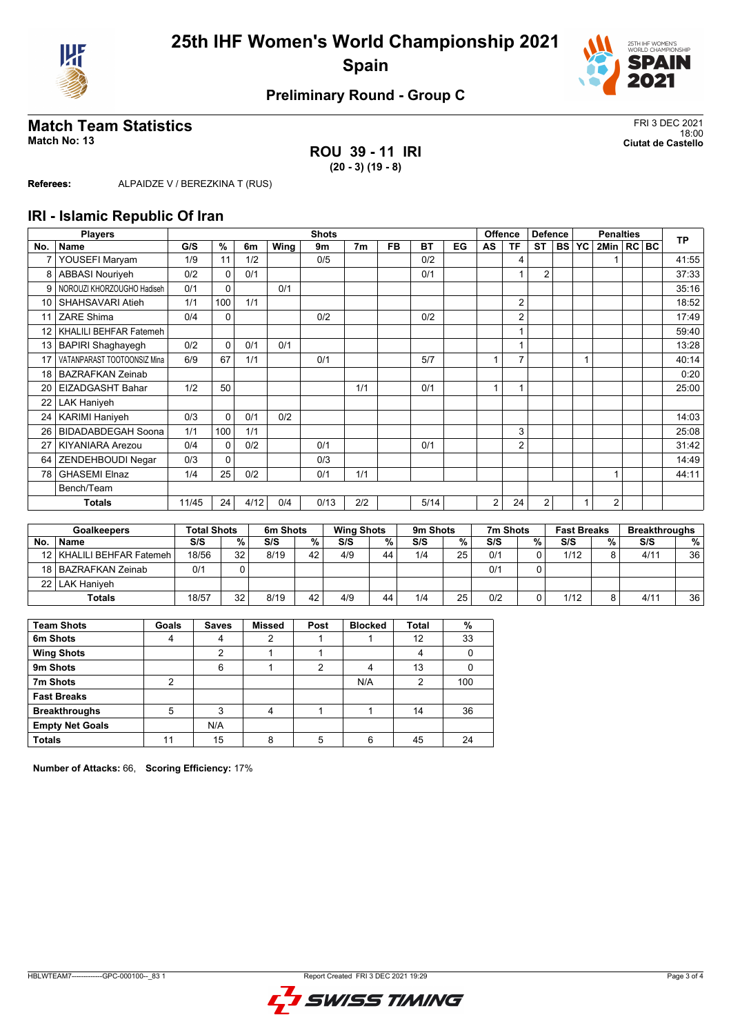



# **Match Team Statistics** FRI 3 DEC 2021<br>18:00

## **ROU 39 - 11 IRI (20 - 3) (19 - 8)**

18:00 **Match No: 13 Ciutat de Castello**

**Referees:** ALPAIDZE V / BEREZKINA T (RUS)

### **IRI - Islamic Republic Of Iran**

|                 | <b>Players</b>              |       |          |      |      | <b>Shots</b> |                |           |      |    |    | Offence        | <b>Defence</b> |           |    | <b>Penalties</b> |  | <b>TP</b> |       |
|-----------------|-----------------------------|-------|----------|------|------|--------------|----------------|-----------|------|----|----|----------------|----------------|-----------|----|------------------|--|-----------|-------|
| No.             | Name                        | G/S   | %        | 6m   | Wing | 9m           | 7 <sub>m</sub> | <b>FB</b> | BT   | EG | AS | ΤF             | <b>ST</b>      | <b>BS</b> | YC | 2Min   RC   BC   |  |           |       |
| $\overline{7}$  | YOUSEFI Maryam              | 1/9   | 11       | 1/2  |      | 0/5          |                |           | 0/2  |    |    | 4              |                |           |    |                  |  |           | 41:55 |
| 8               | <b>ABBASI Nouriveh</b>      | 0/2   | 0        | 0/1  |      |              |                |           | 0/1  |    |    | 1              | $\overline{2}$ |           |    |                  |  |           | 37:33 |
| 9               | NOROUZI KHORZOUGHO Hadiseh  | 0/1   | 0        |      | 0/1  |              |                |           |      |    |    |                |                |           |    |                  |  |           | 35:16 |
| 10              | SHAHSAVARI Atieh            | 1/1   | 100      | 1/1  |      |              |                |           |      |    |    | $\overline{2}$ |                |           |    |                  |  |           | 18:52 |
| 11              | ZARE Shima                  | 0/4   | 0        |      |      | 0/2          |                |           | 0/2  |    |    | $\overline{2}$ |                |           |    |                  |  |           | 17:49 |
| 12              | KHALILI BEHFAR Fatemeh      |       |          |      |      |              |                |           |      |    |    | 1              |                |           |    |                  |  |           | 59:40 |
| 13              | <b>BAPIRI Shaghayegh</b>    | 0/2   | $\Omega$ | 0/1  | 0/1  |              |                |           |      |    |    | и              |                |           |    |                  |  |           | 13:28 |
|                 | VATANPARAST TOOTOONSIZ Mina | 6/9   | 67       | 1/1  |      | 0/1          |                |           | 5/7  |    |    | 7              |                |           |    |                  |  |           | 40:14 |
| 18              | <b>BAZRAFKAN Zeinab</b>     |       |          |      |      |              |                |           |      |    |    |                |                |           |    |                  |  |           | 0:20  |
| 20 <sub>1</sub> | <b>EIZADGASHT Bahar</b>     | 1/2   | 50       |      |      |              | 1/1            |           | 0/1  |    | 4  | 1              |                |           |    |                  |  |           | 25:00 |
| 22              | <b>LAK Haniyeh</b>          |       |          |      |      |              |                |           |      |    |    |                |                |           |    |                  |  |           |       |
| 24 I            | <b>KARIMI Haniyeh</b>       | 0/3   | $\Omega$ | 0/1  | 0/2  |              |                |           |      |    |    |                |                |           |    |                  |  |           | 14:03 |
| 26              | <b>BIDADABDEGAH Soona</b>   | 1/1   | 100      | 1/1  |      |              |                |           |      |    |    | 3              |                |           |    |                  |  |           | 25:08 |
| 27              | <b>KIYANIARA Arezou</b>     | 0/4   | $\Omega$ | 0/2  |      | 0/1          |                |           | 0/1  |    |    | $\overline{2}$ |                |           |    |                  |  |           | 31:42 |
| 64              | ZENDEHBOUDI Negar           | 0/3   | 0        |      |      | 0/3          |                |           |      |    |    |                |                |           |    |                  |  |           | 14:49 |
| 78              | <b>GHASEMI Elnaz</b>        | 1/4   | 25       | 0/2  |      | 0/1          | 1/1            |           |      |    |    |                |                |           |    |                  |  |           | 44:11 |
|                 | Bench/Team                  |       |          |      |      |              |                |           |      |    |    |                |                |           |    |                  |  |           |       |
|                 | <b>Totals</b>               | 11/45 | 24       | 4/12 | 0/4  | 0/13         | 2/2            |           | 5/14 |    | 2  | 24             | $\overline{2}$ |           |    | 2                |  |           |       |

|           | <b>Goalkeepers</b>          | <b>Total Shots</b> |    | 6m Shots |    | <b>Wing Shots</b> |    | 9 <sub>m</sub> Shots |    | 7m Shots |          | <b>Fast Breaks</b> |   | <b>Breakthroughs</b> |    |
|-----------|-----------------------------|--------------------|----|----------|----|-------------------|----|----------------------|----|----------|----------|--------------------|---|----------------------|----|
| <b>No</b> | <b>Name</b>                 | S/S                | %  | S/S      | %  | S/S               | %  | S/S                  | %. | S/S      | %        | S/S                | % | S/S                  | %  |
|           | 12   KHALILI BEHFAR Fatemeh | 18/56              | 32 | 8/19     | 42 | 4/9               | 44 | 1/4                  | 25 | 0/1      | $\Omega$ | 1/12               |   | 4/11                 | 36 |
|           | 18 BAZRAFKAN Zeinab         | 0/1                |    |          |    |                   |    |                      |    | 0/1      | 0        |                    |   |                      |    |
|           | 22   LAK Haniyeh            |                    |    |          |    |                   |    |                      |    |          |          |                    |   |                      |    |
|           | <b>Totals</b>               | 18/57              | 32 | 8/19     | 42 | 4/9               | 44 | 1/4                  | 25 | 0/2      | 0        | 1/12               |   | 4/1                  | 36 |

| <b>Team Shots</b>      | Goals | <b>Saves</b> | <b>Missed</b> | Post | <b>Blocked</b> | <b>Total</b> | %   |
|------------------------|-------|--------------|---------------|------|----------------|--------------|-----|
| 6m Shots               | 4     |              | っ             |      |                | 12           | 33  |
| <b>Wing Shots</b>      |       | 2            |               |      |                |              |     |
| 9m Shots               |       | 6            |               | າ    |                | 13           |     |
| 7m Shots               | 2     |              |               |      | N/A            | 2            | 100 |
| <b>Fast Breaks</b>     |       |              |               |      |                |              |     |
| <b>Breakthroughs</b>   | 5     | 3            | 4             |      |                | 14           | 36  |
| <b>Empty Net Goals</b> |       | N/A          |               |      |                |              |     |
| <b>Totals</b>          | 11    | 15           | 8             |      | 6              | 45           | 24  |

**Number of Attacks:** 66, **Scoring Efficiency:** 17%